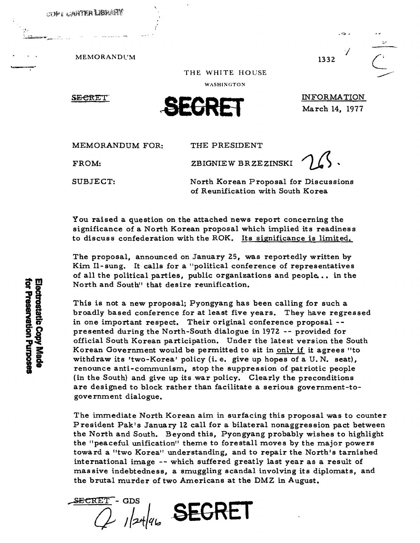

.0.

MEMORANDUM THE WHITE HOUSE  $\overline{C}$ 

## THE WHITE HOUSE

WASHINGTON

**SECRET** 



INFORMATION March 14, 1977

MEMORANDUM FOR: THE PRESIDENT

FROM: ZBIGNIEW BRZEZINSKI

SUBJECT: North Korean Proposal for Discussions of Reunification with South Korea

You raised a question on the attached news report concerning the significance of a North Korean proposal which implied its readiness to discuss confederation with the ROK. Its significance is limited.

The proposal, announced on January 25, was reportedly written by Kim Il-sung. It calls for a "political conference of representatives of all the political parties, public organizations and people. .• in the North and South" that desire reunification.

North and South" that desire reunification.<br>
This is not a new proposal; Pyongyang has been calling for such a<br>
broadly based conference for at least five years. They have regre<br>
in one important respect. Their original co broadly based conference for at least five years. They have regressed in one important respect. Their original conference proposal go presented during the North-South dialogue in 1972 -- provided for<br>official South Korean participation. Under the latest version the S<br>Korean Government would be permitted to sit in <u>only if</u> it agrees<br>withdraw its 'twoofficial South Korean participation. Under the latest version the South Korean Government would be permitted to sit in only if it agrees "to withdraw its 'two-Korea' policy (i. e. give up hopes of a U. N. seat), renounce anti-communism, stop the suppression of patriotic people (in the South) and give up its .war policy. Clearly the preconditions are designed to block rather than facilitate a serious government-togovernment dialogue.

> The immediate North Korean aim in surfacing this proposal was to counter President Pak's January 12 call for a bilateral nonaggression pact between the North and South. Beyond this, Pyongyang probably wishes to highlight the "peaceful unification" theme to forestall moves by the major powers toward a "two Korea" understanding, and to repair the North's tarnished international image -- which suffered greatly last year as a result of massive indebtedness, a smuggling scandal involving its diplomats, and the brutal murder of two Americans at the DMZ in August.

SECRET - GDS  $\sum_{l}^{\text{ET - GDS}}$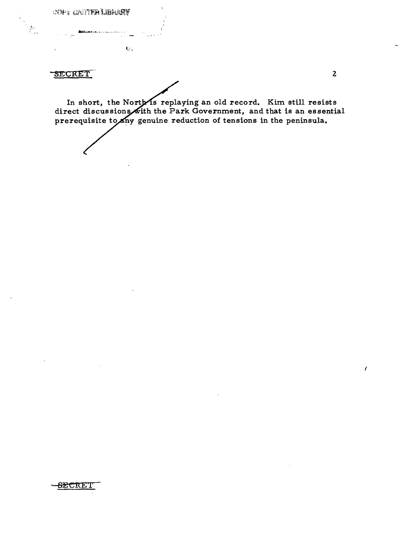COPY CARTER LIBRARY

 $\dot{\mathbf{U}}$  .

**SECRET** 

 $\mathbb{R}^{\mathbb{Z}}$ 

In short, the North is replaying an old record. Kim still resists<br>direct discussions with the Park Government, and that is an essential<br>prerequisite to any genuine reduction of tensions in the peninsula.

 $\overline{2}$ 

 $\epsilon$